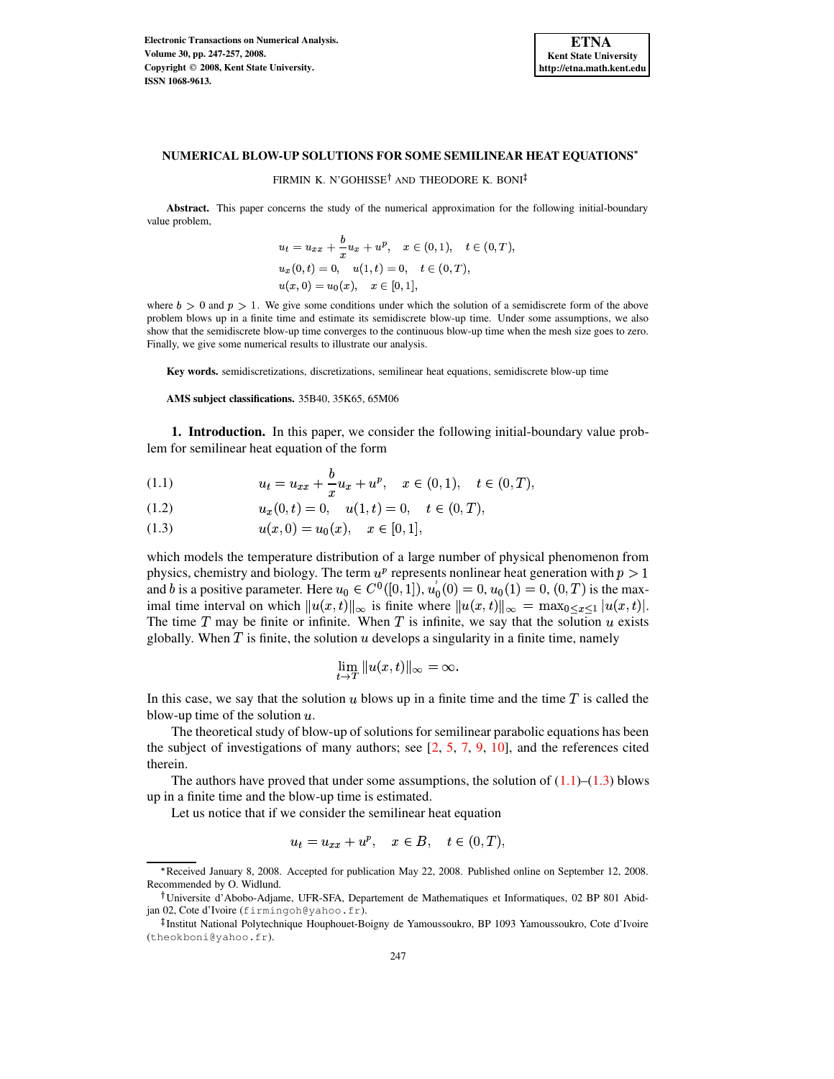

# **NUMERICAL BLOW-UP SOLUTIONS FOR SOME SEMILINEAR HEAT EQUATIONS**

FIRMIN K. N'GOHISSE<sup>†</sup> AND THEODORE K. BONI

**Abstract.** This paper concerns the study of the numerical approximation for the following initial-boundary value problem,

$$
u_t = u_{xx} + \frac{b}{x}u_x + u^p, \quad x \in (0,1), \quad t \in (0,T),
$$
  

$$
u_x(0,t) = 0, \quad u(1,t) = 0, \quad t \in (0,T),
$$
  

$$
u(x,0) = u_0(x), \quad x \in [0,1],
$$

where  $b > 0$  and  $p > 1$ . We give some conditions under which the solution of a semidiscrete form of the above problem blows up in a finite time and estimate its semidiscrete blow-up time. Under some assumptions, we also show that the semidiscrete blow-up time converges to the continuous blow-up time when the mesh size goes to zero. Finally, we give some numerical results to illustrate our analysis.

**Key words.** semidiscretizations, discretizations, semilinear heat equations, semidiscrete blow-up time

#### **AMS subject classifications.** 35B40, 35K65, 65M06

**1. Introduction.** In this paper, we consider the following initial-boundary value problem for semilinear heat equation of the form

<span id="page-0-0"></span>(1.1) 
$$
u_t = u_{xx} + \frac{b}{x} u_x + u^p, \quad x \in (0,1), \quad t \in (0,T),
$$

$$
(1.2) \t\t ux(0,t) = 0, \t u(1,t) = 0, \t t \in (0,T),
$$

$$
(1.3) \t u(x,0) = u_0(x), \t x \in [0,1],
$$

which models the temperature distribution of a large number of physical phenomenon from physics, chemistry and biology. The term  $u^p$  represents nonlinear heat generation with  $p > 1$ and b is a positive parameter. Here  $u_0 \in C^0([0, 1])$ ,  $u_0(0) = 0$ ,  $u_0(1) = 0$ ,  $(0, T)$  is the maximal time interval on which  $||u(x,t)||_{\infty}$  is finite where  $||u(x,t)||_{\infty} = \max_{0 \le x \le 1} |u(x,t)|$ . The time T may be finite or infinite. When T is infinite, we say that the solution u exists globally. When  $T$  is finite, the solution  $u$  develops a singularity in a finite time, namely

$$
\lim_{t\to T}\|u(x,t)\|_{\infty}=\infty.
$$

In this case, we say that the solution  $u$  blows up in a finite time and the time  $T$  is called the blow-up time of the solution  $u$ .

The theoretical study of blow-up of solutions for semilinear parabolic equations has been the subject of investigations of many authors; see  $[2, 5, 7, 9, 10]$  $[2, 5, 7, 9, 10]$  $[2, 5, 7, 9, 10]$  $[2, 5, 7, 9, 10]$  $[2, 5, 7, 9, 10]$  $[2, 5, 7, 9, 10]$  $[2, 5, 7, 9, 10]$  $[2, 5, 7, 9, 10]$  $[2, 5, 7, 9, 10]$ , and the references cited therein.

The authors have proved that under some assumptions, the solution of  $(1.1)$ – $(1.3)$  blows up in a finite time and the blow-up time is estimated.

Let us notice that if we consider the semilinear heat equation

$$
u_t = u_{xx} + u^p, \quad x \in B, \quad t \in (0, T),
$$

Received January 8, 2008. Accepted for publication May 22, 2008. Published online on September 12, 2008. Recommended by O. Widlund.

Universite d'Abobo-Adjame, UFR-SFA, Departement de Mathematiques et Informatiques, 02 BP 801 Abidjan 02, Cote d'Ivoire (firmingoh@yahoo.fr).

Institut National Polytechnique Houphouet-Boigny de Yamoussoukro, BP 1093 Yamoussoukro, Cote d'Ivoire (theokboni@yahoo.fr).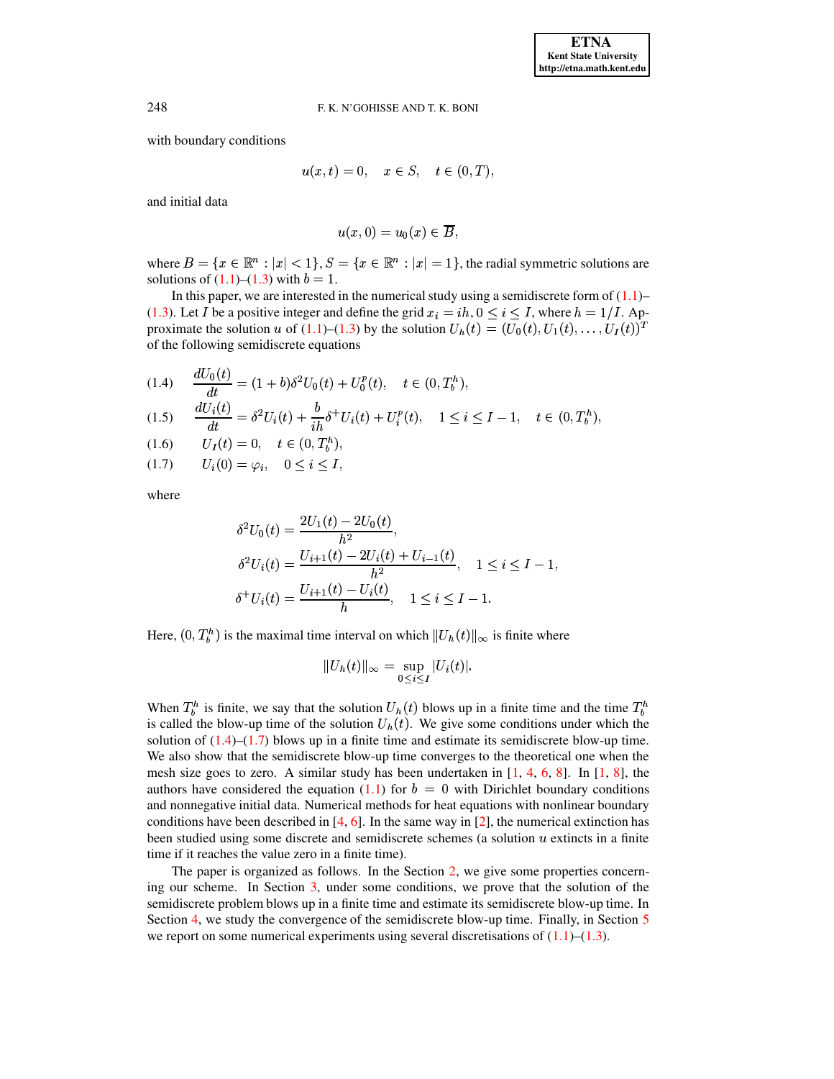with boundary conditions

$$
u(x,t) = 0, \quad x \in S, \quad t \in (0,T),
$$

and initial data

$$
u(x,0)=u_0(x)\in \overline{B},
$$

where  $B = \{x \in \mathbb{R}^n : |x| < 1\}$ ,  $S = \{x \in \mathbb{R}^n : |x| = 1\}$ , the radial symmetric solutions are solutions of  $(1.1)$ – $(1.3)$  with  $b = 1$ .

In this paper, we are interested in the numerical study using a semidiscrete form of  $(1.1)$ – [\(1.3\)](#page-0-0). Let I be a positive integer and define the grid  $x_i = ih$ ,  $0 \le i \le I$ , where  $h = 1/I$ . Ap-proximate the solution u of [\(1.1\)](#page-0-0)–[\(1.3\)](#page-0-0) by the solution  $U_h(t) = (U_0(t), U_1(t), \ldots, U_I(t))^T$ of the following semidiscrete equations

<span id="page-1-0"></span>(1.4) 
$$
\frac{dU_0(t)}{dt} = (1+b)\delta^2 U_0(t) + U_0^p(t), \quad t \in (0, T_b^h),
$$
  
(1.5) 
$$
\frac{dU_i(t)}{dt} = \delta^2 U_i(t) + \frac{b}{ih}\delta^+ U_i(t) + U_i^p(t), \quad 1 \le i \le I - 1, \quad t \in (0, T_b^h),
$$
  
(1.6) 
$$
U_I(t) = 0, \quad t \in (0, T_b^h),
$$

 $U_i(0) = \varphi_i$ ,  $0 \leq i \leq I$ , (1.7)

where

$$
\delta^2 U_0(t) = \frac{2U_1(t) - 2U_0(t)}{h^2},
$$
  
\n
$$
\delta^2 U_i(t) = \frac{U_{i+1}(t) - 2U_i(t) + U_{i-1}(t)}{h^2}, \quad 1 \le i \le I - 1,
$$
  
\n
$$
\delta^+ U_i(t) = \frac{U_{i+1}(t) - U_i(t)}{h}, \quad 1 \le i \le I - 1.
$$

Here,  $(0, T_h^h)$  is the maximal time interval on which  $||U_h(t)||_{\infty}$  is finite where

$$
||U_h(t)||_{\infty} = \sup_{0 \le i \le I} |U_i(t)|.
$$

When  $T_h^h$  is finite, we say that the solution  $U_h(t)$  blows up in a finite time and the time  $T_h^h$ is called the blow-up time of the solution  $U_h(t)$ . We give some conditions under which the solution of  $(1.4)$ – $(1.7)$  blows up in a finite time and estimate its semidiscrete blow-up time. We also show that the semidiscrete blow-up time converges to the theoretical one when the mesh size goes to zero. A similar study has been undertaken in  $[1, 4, 6, 8]$  $[1, 4, 6, 8]$  $[1, 4, 6, 8]$  $[1, 4, 6, 8]$  $[1, 4, 6, 8]$  $[1, 4, 6, 8]$  $[1, 4, 6, 8]$ . In  $[1, 8]$ , the authors have considered the equation [\(1.1\)](#page-0-0) for  $b = 0$  with Dirichlet boundary conditions and nonnegative initial data. Numerical methods for heat equations with nonlinear boundary conditions have been described in [\[4,](#page-10-6) [6\]](#page-10-7). In the same way in [\[2\]](#page-10-0), the numerical extinction has been studied using some discrete and semidiscrete schemes (a solution  $u$  extincts in a finite time if it reaches the value zero in a finite time).

The paper is organized as follows. In the Section [2,](#page-2-0) we give some properties concerning our scheme. In Section [3,](#page-3-0) under some conditions, we prove that the solution of the semidiscrete problem blows up in a finite time and estimate its semidiscrete blow-up time. In Section [4,](#page-5-0) we study the convergence of the semidiscrete blow-up time. Finally, in Section [5](#page-7-0) we report on some numerical experiments using several discretisations of  $(1.1)$ – $(1.3)$ .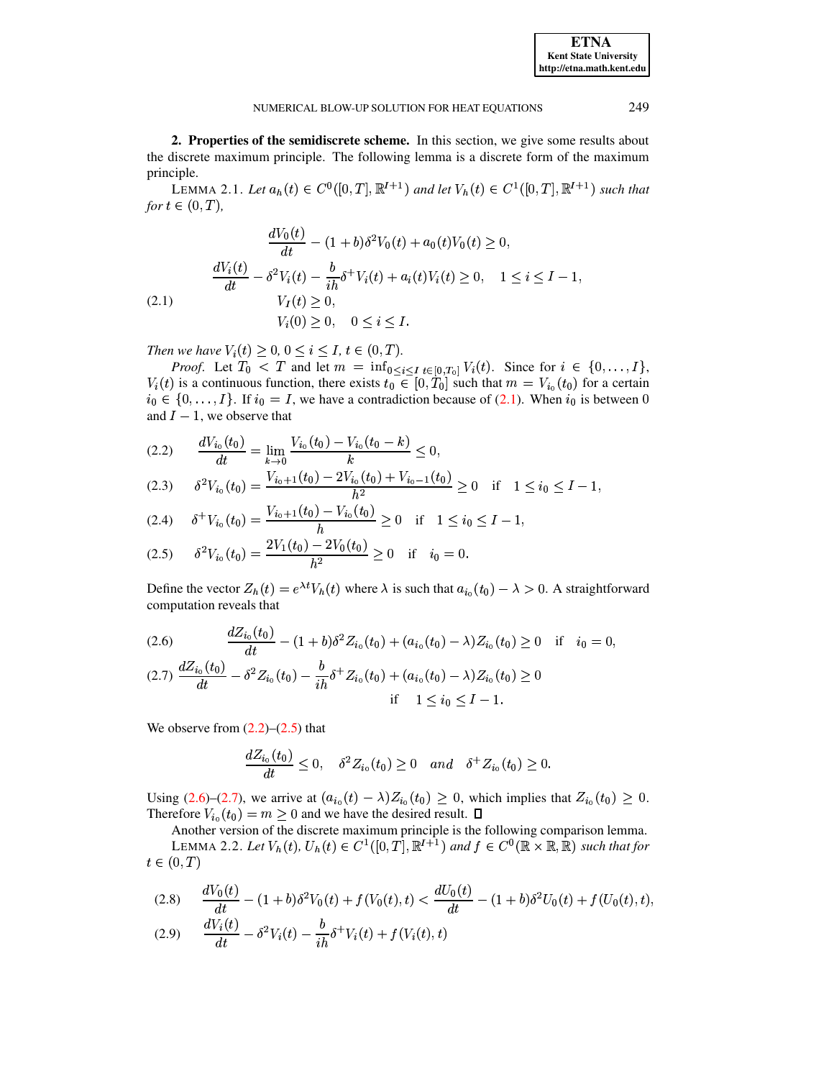<span id="page-2-0"></span>2. Properties of the semidiscrete scheme. In this section, we give some results about the discrete maximum principle. The following lemma is a discrete form of the maximum principle.

<span id="page-2-5"></span>LEMMA 2.1. Let  $a_h(t) \in C^0([0,T], \mathbb{R}^{I+1})$  and let  $V_h(t) \in C^1([0,T], \mathbb{R}^{I+1})$  such that for  $t \in (0,T)$ ,

<span id="page-2-1"></span>
$$
\frac{dV_0(t)}{dt} - (1+b)\delta^2 V_0(t) + a_0(t)V_0(t) \ge 0,
$$
  

$$
\frac{dV_i(t)}{dt} - \delta^2 V_i(t) - \frac{b}{ih}\delta^+ V_i(t) + a_i(t)V_i(t) \ge 0, \quad 1 \le i \le I - 1,
$$
  
(2.1)  

$$
V_I(t) \ge 0,
$$
  

$$
V_i(0) \ge 0, \quad 0 \le i \le I.
$$

Then we have  $V_i(t) \ge 0, 0 \le i \le I, t \in (0, T)$ .

*Proof.* Let  $T_0$  < T and let  $m = \inf_{0 \le i \le I} \sum_{t \in [0, T_0]} V_i(t)$ . Since for  $i \in \{0, \ldots, I\}$ ,  $V_i(t)$  is a continuous function, there exists  $t_0 \in [0, T_0]$  such that  $m = V_{i_0}(t_0)$  for a certain  $i_0 \in \{0, ..., I\}$ . If  $i_0 = I$ , we have a contradiction because of (2.1). When  $i_0$  is between 0 and  $I-1$ , we observe that

<span id="page-2-2"></span>
$$
(2.2) \qquad \frac{dV_{i_0}(t_0)}{dt} = \lim_{k \to 0} \frac{V_{i_0}(t_0) - V_{i_0}(t_0 - k)}{k} \le 0,
$$

$$
(2.3) \qquad \delta^2 V_{i_0}(t_0) = \frac{V_{i_0+1}(t_0) - 2V_{i_0}(t_0) + V_{i_0-1}(t_0)}{h^2} \ge 0 \quad \text{if} \quad 1 \le i_0 \le I-1,
$$

$$
(2.4) \quad \delta^+ V_{i_0}(t_0) = \frac{V_{i_0+1}(t_0) - V_{i_0}(t_0)}{h} \ge 0 \quad \text{if} \quad 1 \le i_0 \le I-1,
$$

$$
(2.5) \qquad \delta^2 V_{i_0}(t_0) = \frac{2V_1(t_0) - 2V_0(t_0)}{h^2} \ge 0 \quad \text{if} \quad i_0 = 0
$$

Define the vector  $Z_h(t) = e^{\lambda t} V_h(t)$  where  $\lambda$  is such that  $a_{i_0}(t_0) - \lambda > 0$ . A straightforward computation reveals that

<span id="page-2-3"></span>
$$
(2.6) \quad \frac{dZ_{i_0}(t_0)}{dt} - (1+b)\delta^2 Z_{i_0}(t_0) + (a_{i_0}(t_0) - \lambda)Z_{i_0}(t_0) \ge 0 \quad \text{if} \quad i_0 = 0,
$$

$$
(2.7)\ \frac{dZ_{i_0}(t_0)}{dt} - \delta^2 Z_{i_0}(t_0) - \frac{\delta}{i\hbar} \delta^+ Z_{i_0}(t_0) + (a_{i_0}(t_0) - \lambda) Z_{i_0}(t_0) \geq 0
$$
  
if  $1 \leq i_0 \leq I - 1$ .

We observe from  $(2.2)$ – $(2.5)$  that

<span id="page-2-6"></span>
$$
\frac{dZ_{i_0}(t_0)}{dt}\leq 0, \quad \delta^2 Z_{i_0}(t_0)\geq 0 \quad and \quad \delta^+ Z_{i_0}(t_0)\geq 0.
$$

Using (2.6)–(2.7), we arrive at  $(a_{i_0}(t) - \lambda)Z_{i_0}(t_0) \geq 0$ , which implies that  $Z_{i_0}(t_0) \geq 0$ . Therefore  $V_{i_0}(t_0) = m \ge 0$  and we have the desired result.  $\Box$ 

Another version of the discrete maximum principle is the following comparison lemma. LEMMA 2.2. Let  $V_h(t)$ ,  $U_h(t) \in C^1([0,T], \mathbb{R}^{I+1})$  and  $f \in C^0(\mathbb{R} \times \mathbb{R}, \mathbb{R})$  such that for  $t\in(0,T)$ 

<span id="page-2-4"></span>(2.8) 
$$
\frac{dV_0(t)}{dt} - (1+b)\delta^2 V_0(t) + f(V_0(t),t) < \frac{dU_0(t)}{dt} - (1+b)\delta^2 U_0(t) + f(U_0(t),t),
$$
  
(2.9) 
$$
\frac{dV_i(t)}{dt} - \delta^2 V_i(t) - \frac{b}{ih}\delta^+ V_i(t) + f(V_i(t),t)
$$

**ETNA Kent State University** http://etna.math.kent.edu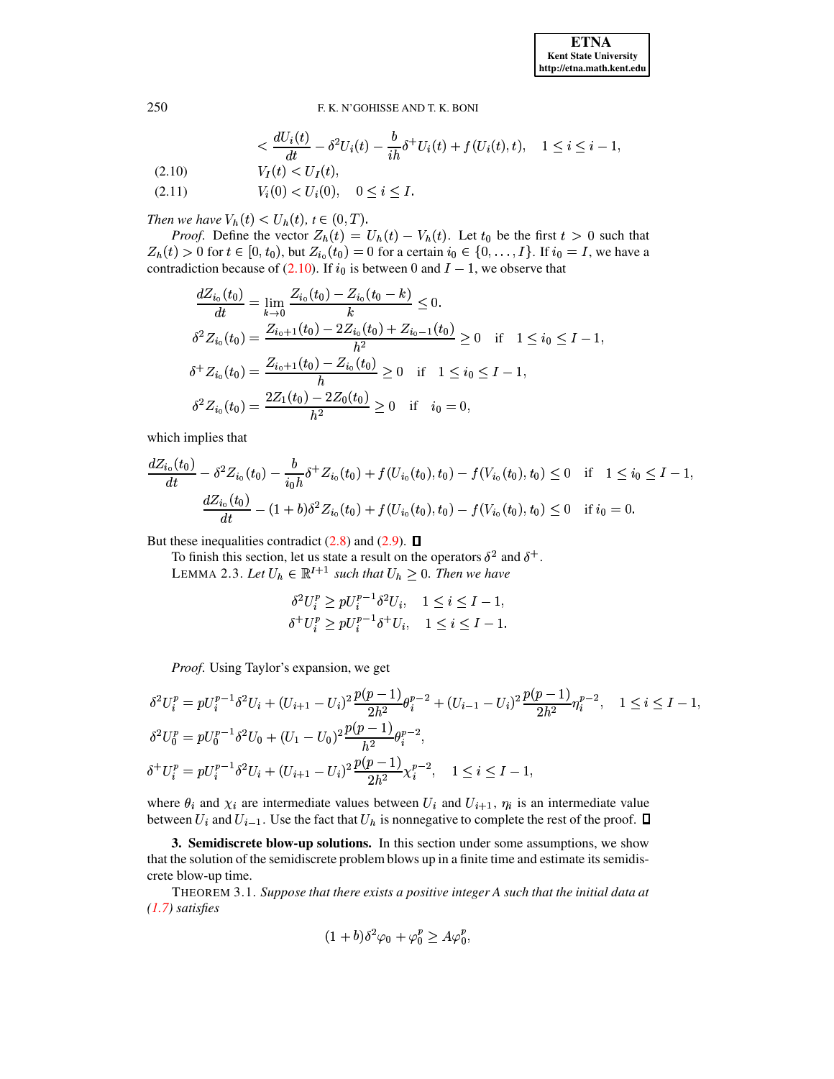$$
\langle \frac{dU_i(t)}{dt} - \delta^2 U_i(t) - \frac{b}{ih} \delta^+ U_i(t) + f(U_i(t), t), \quad 1 \le i \le i - 1,
$$
  

$$
V_I(t) < U_I(t),
$$

 $V_i(0) < U_i(0), \quad 0 \leq i \leq I.$  $(2.11)$ 

Then we have  $V_h(t) < U_h(t)$ ,  $t \in (0, T)$ .

*Proof.* Define the vector  $Z_h(t) = U_h(t) - V_h(t)$ . Let  $t_0$  be the first  $t > 0$  such that  $Z_h(t) > 0$  for  $t \in [0, t_0)$ , but  $Z_{i_0}(t_0) = 0$  for a certain  $i_0 \in \{0, ..., I\}$ . If  $i_0 = I$ , we have a contradiction because of (2.10). If  $i_0$  is between 0 and  $I - 1$ , we observe that

$$
\frac{dZ_{i_0}(t_0)}{dt} = \lim_{k \to 0} \frac{Z_{i_0}(t_0) - Z_{i_0}(t_0 - k)}{k} \le 0.
$$
  
\n
$$
\delta^2 Z_{i_0}(t_0) = \frac{Z_{i_0+1}(t_0) - 2Z_{i_0}(t_0) + Z_{i_0-1}(t_0)}{h^2} \ge 0 \quad \text{if} \quad 1 \le i_0 \le I - 1,
$$
  
\n
$$
\delta^+ Z_{i_0}(t_0) = \frac{Z_{i_0+1}(t_0) - Z_{i_0}(t_0)}{h} \ge 0 \quad \text{if} \quad 1 \le i_0 \le I - 1,
$$
  
\n
$$
\delta^2 Z_{i_0}(t_0) = \frac{2Z_1(t_0) - 2Z_0(t_0)}{h^2} \ge 0 \quad \text{if} \quad i_0 = 0,
$$

which implies that

$$
\frac{dZ_{i_0}(t_0)}{dt} - \delta^2 Z_{i_0}(t_0) - \frac{b}{i_0 h} \delta^+ Z_{i_0}(t_0) + f(U_{i_0}(t_0), t_0) - f(V_{i_0}(t_0), t_0) \le 0 \quad \text{if} \quad 1 \le i_0 \le I - 1,
$$
  

$$
\frac{dZ_{i_0}(t_0)}{dt} - (1 + b)\delta^2 Z_{i_0}(t_0) + f(U_{i_0}(t_0), t_0) - f(V_{i_0}(t_0), t_0) \le 0 \quad \text{if } i_0 = 0.
$$

But these inequalities contradict  $(2.8)$  and  $(2.9)$ .  $\Box$ 

To finish this section, let us state a result on the operators  $\delta^2$  and  $\delta^+$ .

LEMMA 2.3. Let  $U_h \in \mathbb{R}^{I+1}$  such that  $U_h \geq 0$ . Then we have

<span id="page-3-1"></span>
$$
\delta^2 U_i^p \ge p U_i^{p-1} \delta^2 U_i, \quad 1 \le i \le I-1,
$$
  

$$
\delta^+ U_i^p \ge p U_i^{p-1} \delta^+ U_i, \quad 1 \le i \le I-1.
$$

Proof. Using Taylor's expansion, we get

$$
\delta^2 U_i^p = p U_i^{p-1} \delta^2 U_i + (U_{i+1} - U_i)^2 \frac{p(p-1)}{2h^2} \theta_i^{p-2} + (U_{i-1} - U_i)^2 \frac{p(p-1)}{2h^2} \eta_i^{p-2}, \quad 1 \le i \le I - 1,
$$
  
\n
$$
\delta^2 U_0^p = p U_0^{p-1} \delta^2 U_0 + (U_1 - U_0)^2 \frac{p(p-1)}{h^2} \theta_i^{p-2},
$$
  
\n
$$
\delta^+ U_i^p = p U_i^{p-1} \delta^2 U_i + (U_{i+1} - U_i)^2 \frac{p(p-1)}{2h^2} \chi_i^{p-2}, \quad 1 \le i \le I - 1,
$$

where  $\theta_i$  and  $\chi_i$  are intermediate values between  $U_i$  and  $U_{i+1}$ ,  $\eta_i$  is an intermediate value between  $U_i$  and  $U_{i-1}$ . Use the fact that  $U_h$  is nonnegative to complete the rest of the proof.  $\Box$ 

<span id="page-3-0"></span>3. Semidiscrete blow-up solutions. In this section under some assumptions, we show that the solution of the semidiscrete problem blows up in a finite time and estimate its semidiscrete blow-up time.

<span id="page-3-2"></span>THEOREM 3.1. Suppose that there exists a positive integer A such that the initial data at  $(1.7)$  satisfies

$$
(1+b)\delta^2\varphi_0+\varphi_0^p\geq A\varphi_0^p,
$$

250

 $(2.10)$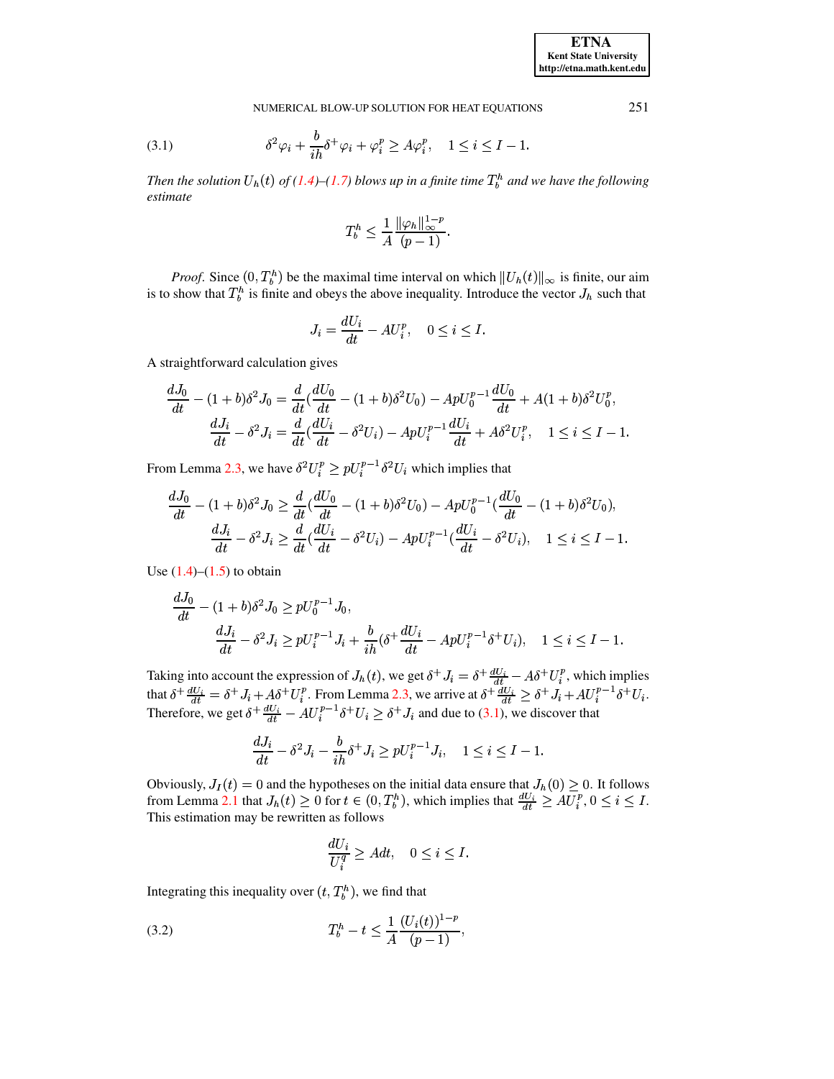<span id="page-4-0"></span>(3.1) 
$$
\delta^2 \varphi_i + \frac{b}{ih} \delta^+ \varphi_i + \varphi_i^p \ge A \varphi_i^p, \quad 1 \le i \le I - 1
$$

Then the solution  $U_h(t)$  of (1.4)–(1.7) blows up in a finite time  $T_h^h$  and we have the following estimate

$$
T_b^h \leq \frac{1}{A} \frac{\|\varphi_h\|_{\infty}^{1-p}}{(p-1)}.
$$

*Proof.* Since  $(0, T_b^h)$  be the maximal time interval on which  $||U_h(t)||_{\infty}$  is finite, our aim is to show that  $T_b^h$  is finite and obeys the above inequality. Introduce the vector  $J_h$  such that

$$
J_i = \frac{dU_i}{dt} - AU_i^p, \quad 0 \le i \le I.
$$

A straightforward calculation gives

$$
\frac{dJ_0}{dt} - (1+b)\delta^2 J_0 = \frac{d}{dt}(\frac{dU_0}{dt} - (1+b)\delta^2 U_0) - ApU_0^{p-1}\frac{dU_0}{dt} + A(1+b)\delta^2 U_0^p,
$$
  

$$
\frac{dJ_i}{dt} - \delta^2 J_i = \frac{d}{dt}(\frac{dU_i}{dt} - \delta^2 U_i) - ApU_i^{p-1}\frac{dU_i}{dt} + A\delta^2 U_i^p, \quad 1 \le i \le I - 1
$$

From Lemma 2.3, we have  $\delta^2 U_i^p \ge pU_i^{p-1} \delta^2 U_i$  which implies that

$$
\frac{dJ_0}{dt} - (1+b)\delta^2 J_0 \ge \frac{d}{dt} \left(\frac{dU_0}{dt} - (1+b)\delta^2 U_0\right) - ApU_0^{p-1} \left(\frac{dU_0}{dt} - (1+b)\delta^2 U_0\right),
$$
  

$$
\frac{dJ_i}{dt} - \delta^2 J_i \ge \frac{d}{dt} \left(\frac{dU_i}{dt} - \delta^2 U_i\right) - ApU_i^{p-1} \left(\frac{dU_i}{dt} - \delta^2 U_i\right), \quad 1 \le i \le I - 1.
$$

Use  $(1.4)$ – $(1.5)$  to obtain

$$
\frac{dJ_0}{dt} - (1+b)\delta^2 J_0 \ge pU_0^{p-1} J_0,
$$
\n
$$
\frac{dJ_i}{dt} - \delta^2 J_i \ge pU_i^{p-1} J_i + \frac{b}{ih} (\delta^+ \frac{dU_i}{dt} - ApU_i^{p-1} \delta^+ U_i), \quad 1 \le i \le I - 1.
$$

Taking into account the expression of  $J_h(t)$ , we get  $\delta^+ J_i = \delta^+ \frac{dU_i}{dt} - A\delta^+ U_i^p$ , which implies that  $\delta^+ \frac{dU_i}{dt} = \delta^+ J_i + A\delta^+ U_i^p$ . From Lemma 2.3, we arrive at  $\delta^+ \frac{dU_i}{dt} \geq \delta^+ J_i + AU_i^{p-1} \delta^+ U_i$ .<br>Therefore, w

$$
\frac{dJ_i}{dt} - \delta^2 J_i - \frac{b}{ih} \delta^+ J_i \ge pU_i^{p-1} J_i, \quad 1 \le i \le I - 1.
$$

Obviously,  $J_I(t) = 0$  and the hypotheses on the initial data ensure that  $J_h(0) \ge 0$ . It follows from Lemma 2.1 that  $J_h(t) \ge 0$  for  $t \in (0, T_h^h)$ , which implies that  $\frac{dU_i}{dt} \ge AU_i^p$ ,  $0 \le i \le I$ . This estimation may be rewritten as follows

$$
\frac{dU_i}{U_i^q} \ge A dt, \quad 0 \le i \le I.
$$

Integrating this inequality over  $(t, T_b^h)$ , we find that

<span id="page-4-1"></span>
$$
(3.2) \t\t T_b^h - t \le \frac{1}{A} \frac{(U_i(t))^{1-p}}{(p-1)},
$$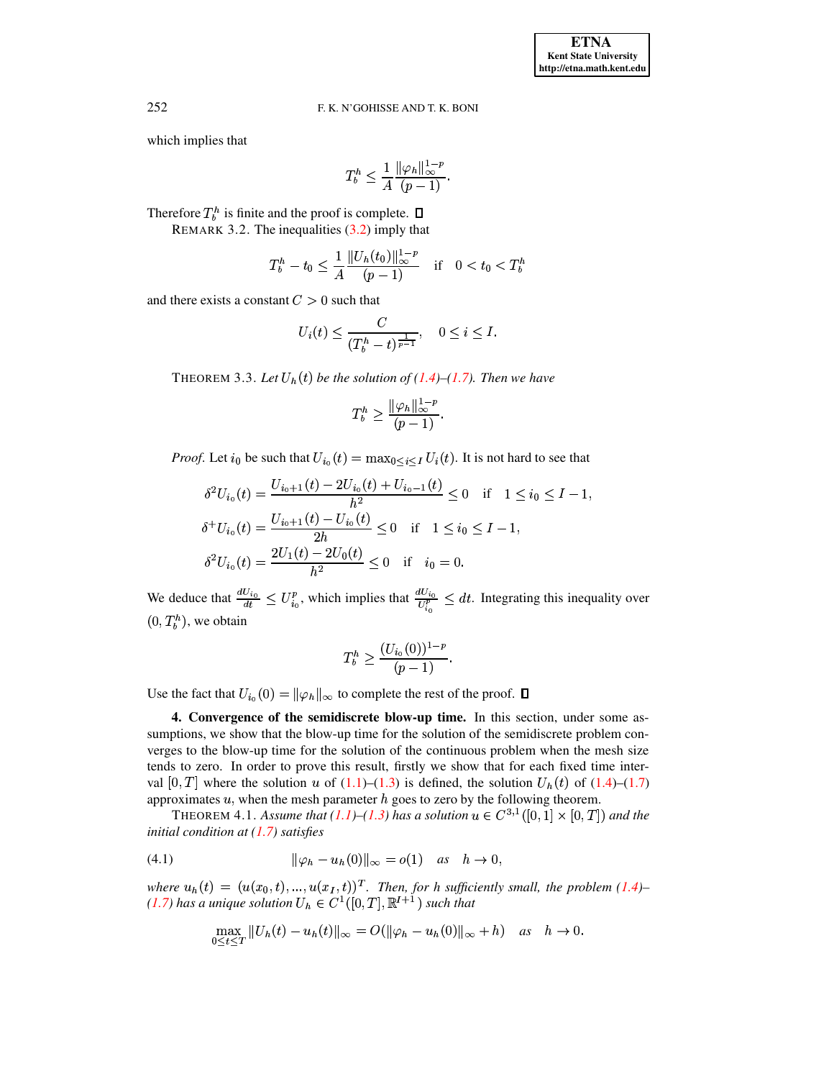which implies that

$$
T_b^h \le \frac{1}{A} \frac{\|\varphi_h\|_{\infty}^{1-p}}{(p-1)}.
$$

<span id="page-5-3"></span>Therefore  $T_h^h$  is finite and the proof is complete.  $\Box$ 

REMARK 3.2. The inequalities  $(3.2)$  imply that

$$
T_b^h - t_0 \le \frac{1}{A} \frac{\|U_h(t_0)\|_{\infty}^{1-p}}{(p-1)} \quad \text{if} \quad 0 < t_0 < T_b^h
$$

and there exists a constant  $C > 0$  such that

$$
U_i(t) \le \frac{C}{(T_b^h - t)^{\frac{1}{p-1}}}, \quad 0 \le i \le I.
$$

THEOREM 3.3. Let  $U_h(t)$  be the solution of (1.4)–(1.7). Then we have

$$
T_b^h \geq \frac{\|\varphi_h\|_\infty^{1-p}}{(p-1)}.
$$

*Proof.* Let  $i_0$  be such that  $U_{i_0}(t) = \max_{0 \le i \le I} U_i(t)$ . It is not hard to see that

$$
\delta^2 U_{i_0}(t) = \frac{U_{i_0+1}(t) - 2U_{i_0}(t) + U_{i_0-1}(t)}{h^2} \le 0 \quad \text{if} \quad 1 \le i_0 \le I - 1,
$$
  

$$
\delta^+ U_{i_0}(t) = \frac{U_{i_0+1}(t) - U_{i_0}(t)}{2h} \le 0 \quad \text{if} \quad 1 \le i_0 \le I - 1,
$$
  

$$
\delta^2 U_{i_0}(t) = \frac{2U_1(t) - 2U_0(t)}{h^2} \le 0 \quad \text{if} \quad i_0 = 0.
$$

We deduce that  $\frac{dU_{i_0}}{dt} \leq U_{i_0}^p$ , which implies that  $\frac{dU_{i_0}}{U_{i_0}^p} \leq dt$ . Integrating this inequality over  $(0, T_b^h)$ , we obtain

<span id="page-5-2"></span>
$$
T_b^h \ge \frac{(U_{i_0}(0))^{1-p}}{(p-1)}
$$

<span id="page-5-0"></span>Use the fact that  $U_{i_0}(0) = ||\varphi_h||_{\infty}$  to complete the rest of the proof.  $\square$ 

4. Convergence of the semidiscrete blow-up time. In this section, under some assumptions, we show that the blow-up time for the solution of the semidiscrete problem converges to the blow-up time for the solution of the continuous problem when the mesh size tends to zero. In order to prove this result, firstly we show that for each fixed time interval [0, T] where the solution u of (1.1)–(1.3) is defined, the solution  $U_h(t)$  of (1.4)–(1.7) approximates  $u$ , when the mesh parameter  $h$  goes to zero by the following theorem.

THEOREM 4.1. Assume that (1.1)–(1.3) has a solution  $u \in C^{3,1}([0,1] \times [0,T])$  and the initial condition at  $(1.7)$  satisfies

<span id="page-5-1"></span>(4.1) 
$$
\|\varphi_h - u_h(0)\|_{\infty} = o(1) \text{ as } h \to 0,
$$

where  $u_h(t) = (u(x_0, t), ..., u(x_I, t))^T$ . Then, for h sufficiently small, the problem (1.4)–(1.7) has a unique solution  $U_h \in C^1([0, T], \mathbb{R}^{I+1})$  such that

$$
\max_{0\leq t\leq T}||U_h(t)-u_h(t)||_{\infty}=O(||\varphi_h-u_h(0)||_{\infty}+h) \quad \text{as} \quad h\to 0.
$$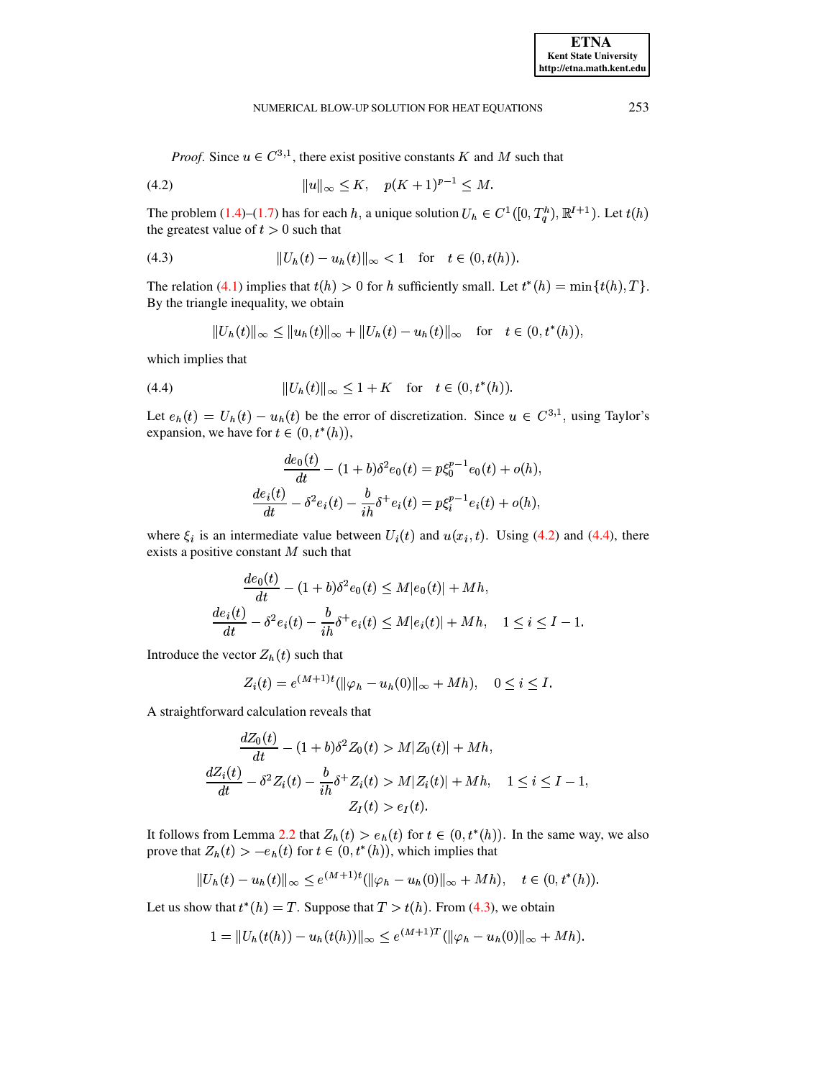#### NUMERICAL BLOW-UP SOLUTION FOR HEAT EQUATIONS

<span id="page-6-0"></span>*Proof.* Since  $u \in C^{3,1}$ , there exist positive constants K and M such that

(4.2) 
$$
||u||_{\infty} \leq K, \quad p(K+1)^{p-1} \leq M.
$$

The problem (1.4)–(1.7) has for each h, a unique solution  $U_h \in C^1([0, T_a^h), \mathbb{R}^{I+1})$ . Let  $t(h)$ the greatest value of  $t > 0$  such that

<span id="page-6-2"></span>(4.3) 
$$
||U_h(t) - u_h(t)||_{\infty} < 1 \text{ for } t \in (0, t(h)).
$$

The relation (4.1) implies that  $t(h) > 0$  for h sufficiently small. Let  $t^*(h) = \min\{t(h), T\}$ . By the triangle inequality, we obtain

$$
||U_h(t)||_{\infty} \leq ||u_h(t)||_{\infty} + ||U_h(t) - u_h(t)||_{\infty} \text{ for } t \in (0, t^*(h)),
$$

which implies that

<span id="page-6-1"></span>(4.4) 
$$
||U_h(t)||_{\infty} \le 1 + K \quad \text{for} \quad t \in (0, t^*(h)).
$$

Let  $e_h(t) = U_h(t) - u_h(t)$  be the error of discretization. Since  $u \in C^{3,1}$ , using Taylor's expansion, we have for  $t \in (0, t^*(h))$ ,

$$
\frac{de_0(t)}{dt} - (1+b)\delta^2 e_0(t) = p\xi_0^{p-1}e_0(t) + o(h),
$$
  

$$
\frac{de_i(t)}{dt} - \delta^2 e_i(t) - \frac{b}{ih}\delta^+ e_i(t) = p\xi_i^{p-1}e_i(t) + o(h),
$$

where  $\xi_i$  is an intermediate value between  $U_i(t)$  and  $u(x_i, t)$ . Using (4.2) and (4.4), there exists a positive constant  $M$  such that

$$
\frac{de_0(t)}{dt} - (1+b)\delta^2 e_0(t) \le M|e_0(t)| + Mh,
$$
  

$$
\frac{de_i(t)}{dt} - \delta^2 e_i(t) - \frac{b}{ih}\delta^+ e_i(t) \le M|e_i(t)| + Mh, \quad 1 \le i \le I - 1.
$$

Introduce the vector  $Z_h(t)$  such that

$$
Z_i(t) = e^{(M+1)t}(\|\varphi_h - u_h(0)\|_{\infty} + Mh), \quad 0 \le i \le I.
$$

A straightforward calculation reveals that

$$
\frac{dZ_0(t)}{dt} - (1+b)\delta^2 Z_0(t) > M|Z_0(t)| + Mh,
$$
  

$$
\frac{dZ_i(t)}{dt} - \delta^2 Z_i(t) - \frac{b}{ih}\delta^+ Z_i(t) > M|Z_i(t)| + Mh, \quad 1 \le i \le I - 1,
$$
  

$$
Z_I(t) > e_I(t).
$$

It follows from Lemma 2.2 that  $Z_h(t) > e_h(t)$  for  $t \in (0, t^*(h))$ . In the same way, we also prove that  $Z_h(t) > -e_h(t)$  for  $t \in (0, t^*(h))$ , which implies that

$$
||U_h(t) - u_h(t)||_{\infty} \le e^{(M+1)t} (||\varphi_h - u_h(0)||_{\infty} + Mh), \quad t \in (0, t^*(h)).
$$

Let us show that  $t^*(h) = T$ . Suppose that  $T > t(h)$ . From (4.3), we obtain

$$
1 = \|U_h(t(h)) - u_h(t(h))\|_{\infty} \le e^{(M+1)T} (\|\varphi_h - u_h(0)\|_{\infty} + Mh).
$$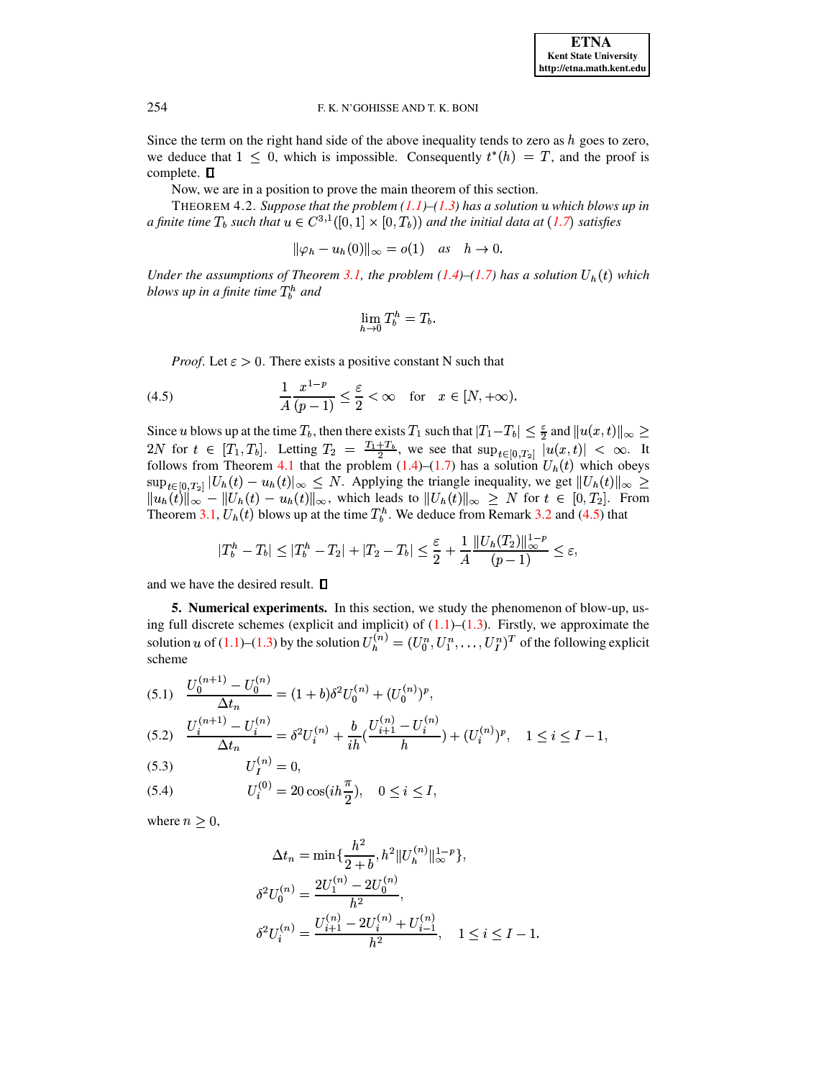Since the term on the right hand side of the above inequality tends to zero as  $h$  goes to zero, we deduce that  $1 \leq 0$ , which is impossible. Consequently  $t^*(h) = T$ , and the proof is complete.  $\Box$ 

Now, we are in a position to prove the main theorem of this section.

THEOREM 4.2. Suppose that the problem  $(1.1)$ – $(1.3)$  has a solution u which blows up in a finite time  $T_b$  such that  $u \in C^{3,1}([0,1] \times [0,T_b))$  and the initial data at  $(1.7)$  satisfies

$$
\|\varphi_h - u_h(0)\|_{\infty} = o(1) \quad \text{as} \quad h \to 0.
$$

Under the assumptions of Theorem 3.1, the problem (1.4)–(1.7) has a solution  $U_h(t)$  which blows up in a finite time  $T_b^h$  and

$$
\lim_{h\to 0}T_b^h=T_b.
$$

<span id="page-7-1"></span>*Proof.* Let  $\varepsilon > 0$ . There exists a positive constant N such that

(4.5) 
$$
\frac{1}{A} \frac{x^{1-p}}{(p-1)} \le \frac{\varepsilon}{2} < \infty \quad \text{for} \quad x \in [N, +\infty)
$$

Since u blows up at the time  $T_b$ , then there exists  $T_1$  such that  $|T_1-T_b| \leq \frac{\varepsilon}{2}$  and  $||u(x,t)||_{\infty} \geq$ 2*N* for  $t \in [T_1, T_b]$ . Letting  $T_2 = \frac{T_1 + T_b}{2}$ , we see that  $\sup_{t \in [0, T_2]} |u(x, t)| < \infty$ . It follows from Theorem 4.1 that the problem (1.4)–(1.7) has a solution  $U_h(t)$  which obeys  $\sup_{t\in[0,T_2]}|U_h(t)-u_h(t)|_{\infty}\leq N$ . Applying the triangle inequality, we get  $||U_h(t)||_{\infty}\geq$  $||u_h(t)||_{\infty} - ||U_h(t) - u_h(t)||_{\infty}$ , which leads to  $||U_h(t)||_{\infty} \ge N$  for  $t \in [0, T_2]$ . From<br>Theorem 3.1,  $U_h(t)$  blows up at the time  $T_h^h$ . We deduce from Remark 3.2 and (4.5) that

$$
|T_b^h - T_b| \le |T_b^h - T_2| + |T_2 - T_b| \le \frac{\varepsilon}{2} + \frac{1}{A} \frac{\|U_h(T_2)\|_{\infty}^{1-p}}{(p-1)} \le \varepsilon,
$$

<span id="page-7-0"></span>and we have the desired result.  $\square$ 

**5. Numerical experiments.** In this section, we study the phenomenon of blow-up, using full discrete schemes (explicit and implicit) of  $(1.1)$ – $(1.3)$ . Firstly, we approximate the solution u of (1.1)–(1.3) by the solution  $U_h^{(n)} = (U_0^n, U_1^n, \dots, U_I^n)^T$  of the following explicit scheme

<span id="page-7-2"></span>
$$
(5.1) \quad \frac{U_0^{(n+1)} - U_0^{(n)}}{\Delta t_n} = (1+b)\delta^2 U_0^{(n)} + (U_0^{(n)})^p,
$$
\n
$$
(5.2) \quad \frac{U_i^{(n+1)} - U_i^{(n)}}{\Delta t_n} = \delta^2 U_i^{(n)} + \frac{b}{ih} \left(\frac{U_{i+1}^{(n)} - U_i^{(n)}}{h}\right) + (U_i^{(n)})^p, \quad 1 \le i \le I - 1,
$$

$$
(5.3) \t\t\t U_I^{(n)} = 0,
$$

(5.4) 
$$
U_i^{(0)} = 20 \cos(i h \frac{\pi}{2}), \quad 0 \le i \le I,
$$

where  $n \geq 0$ ,

$$
\begin{aligned} \Delta t_n &= \min\{\frac{h^2}{2+b}, h^2 \|U_h^{(n)}\|_\infty^{1-p}\}, \\ \delta^2 U_0^{(n)} &= \frac{2U_1^{(n)}-2U_0^{(n)}}{h^2}, \\ \delta^2 U_i^{(n)} &= \frac{U_{i+1}^{(n)}-2U_i^{(n)}+U_{i-1}^{(n)}}{h^2}, \quad 1 \le i \le I-1. \end{aligned}
$$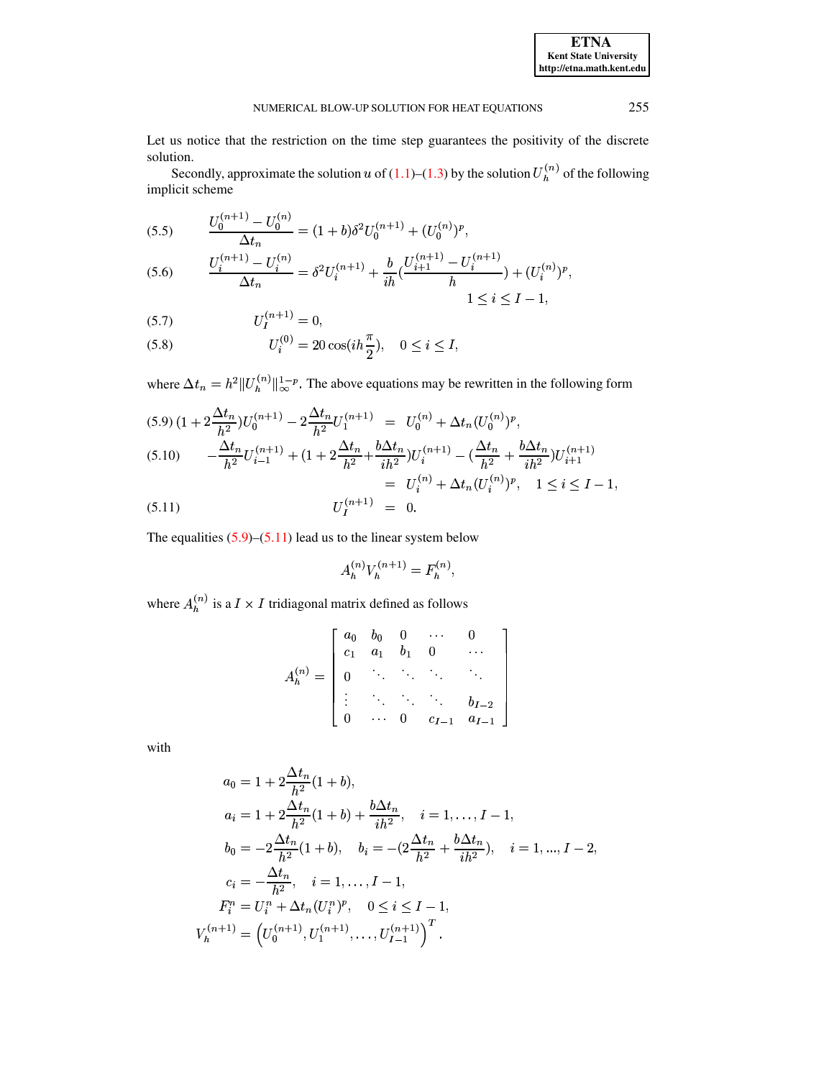Let us notice that the restriction on the time step guarantees the positivity of the discrete solution.

Secondly, approximate the solution u of (1.1)–(1.3) by the solution  $U_h^{(n)}$  of the following implicit scheme

<span id="page-8-1"></span>(5.5) 
$$
\frac{U_0^{(n+1)} - U_0^{(n)}}{\Delta t_n} = (1+b)\delta^2 U_0^{(n+1)} + (U_0^{(n)})^p,
$$

$$
(5.6) \qquad \frac{U_i^{(n+1)} - U_i^{(n)}}{\Delta t_n} = \delta^2 U_i^{(n+1)} + \frac{b}{ih} \left( \frac{U_{i+1}^{(n+1)} - U_i^{(n+1)}}{h} \right) + (U_i^{(n)})^p
$$

$$
1 \le i \le I - 1,
$$

$$
(5.7) \t\t\t U_I^{(n+1)} = 0,
$$

(5.8) 
$$
U_i^{(0)} = 20 \cos(i h \frac{\pi}{2}), \quad 0 \le i \le I,
$$

where  $\Delta t_n = h^2 ||U_h^{(n)}||_{\infty}^{1-p}$ . The above equations may be rewritten in the following form

<span id="page-8-0"></span>
$$
(5.9)\left(1+2\frac{\Delta t_n}{h^2}\right)U_0^{(n+1)} - 2\frac{\Delta t_n}{h^2}U_1^{(n+1)} = U_0^{(n)} + \Delta t_n (U_0^{(n)})^p,
$$
\n
$$
(5.10)\qquad -\frac{\Delta t_n}{h^2}U_{i-1}^{(n+1)} + \left(1+2\frac{\Delta t_n}{h^2} + \frac{b\Delta t_n}{ih^2}\right)U_i^{(n+1)} - \left(\frac{\Delta t_n}{h^2} + \frac{b\Delta t_n}{ih^2}\right)U_{i+1}^{(n+1)}
$$
\n
$$
= U_i^{(n)} + \Delta t_n (U_i^{(n)})^p, \quad 1 \le i \le I-1,
$$
\n
$$
(5.11)\qquad \qquad U_I^{(n+1)} = 0.
$$

The equalities  $(5.9)$ – $(5.11)$  lead us to the linear system below

$$
A_h^{(n)} V_h^{(n+1)} = {\cal F}_h^{(n)}
$$

where  $A_h^{(n)}$  is a  $I\times I$  tridiagonal matrix defined as follows

$$
A_h^{(n)} = \begin{bmatrix} a_0 & b_0 & 0 & \cdots & 0 \\ c_1 & a_1 & b_1 & 0 & \cdots \\ 0 & \ddots & \ddots & \ddots & \ddots \\ \vdots & \ddots & \ddots & \ddots & b_{I-2} \\ 0 & \cdots & 0 & c_{I-1} & a_{I-1} \end{bmatrix}
$$

with

$$
a_0 = 1 + 2\frac{\Delta t_n}{h^2}(1+b),
$$
  
\n
$$
a_i = 1 + 2\frac{\Delta t_n}{h^2}(1+b) + \frac{b\Delta t_n}{ih^2}, \quad i = 1, ..., I-1,
$$
  
\n
$$
b_0 = -2\frac{\Delta t_n}{h^2}(1+b), \quad b_i = -(2\frac{\Delta t_n}{h^2} + \frac{b\Delta t_n}{ih^2}), \quad i = 1, ..., I-2,
$$
  
\n
$$
c_i = -\frac{\Delta t_n}{h^2}, \quad i = 1, ..., I-1,
$$
  
\n
$$
F_i^n = U_i^n + \Delta t_n (U_i^n)^p, \quad 0 \le i \le I-1,
$$
  
\n
$$
V_h^{(n+1)} = (U_0^{(n+1)}, U_1^{(n+1)}, ..., U_{I-1}^{(n+1)})^T.
$$

**ETNA Kent State University** http://etna.math.kent.edu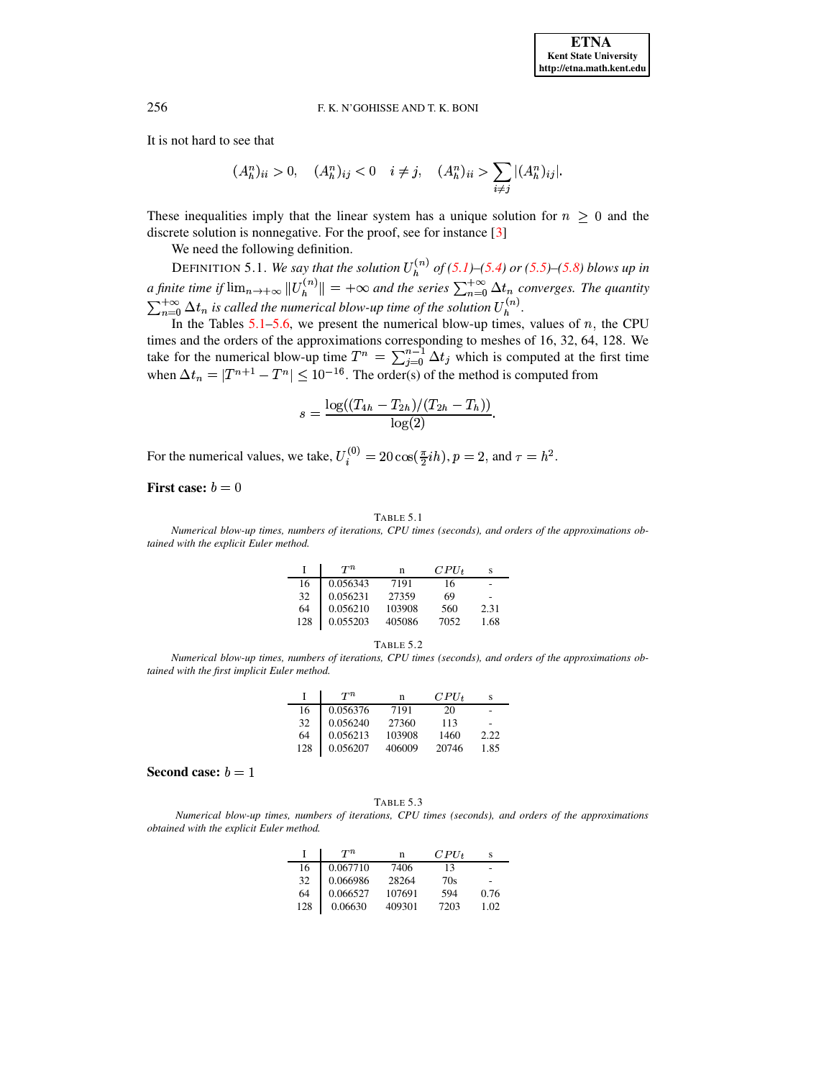It is not hard to see that

$$
(A_h^n)_{ii} > 0, \quad (A_h^n)_{ij} < 0 \quad i \neq j, \quad (A_h^n)_{ii} > \sum_{i \neq j} |(A_h^n)_{ij}|.
$$

These inequalities imply that the linear system has a unique solution for  $n \geq 0$  and the discrete solution is nonnegative. For the proof, see for instance [3]

We need the following definition.

DEFINITION 5.1. We say that the solution  $U_h^{(n)}$  of (5.1)–(5.4) or (5.5)–(5.8) blows up in<br>a finite time if  $\lim_{n\to+\infty} ||U_h^{(n)}|| = +\infty$  and the series  $\sum_{n=0}^{+\infty} \Delta t_n$  converges. The quantity<br> $\sum_{n=0}^{+\infty} \Delta t_n$  is called

In the Tables  $5.1-5.6$ , we present the numerical blow-up times, values of n, the CPU times and the orders of the approximations corresponding to meshes of 16, 32, 64, 128. We take for the numerical blow-up time  $T^n = \sum_{j=0}^{n-1} \Delta t_j$  which is computed at the first time when  $\Delta t_n = |T^{n+1} - T^n| \leq 10^{-16}$ . Th

$$
s = \frac{\log((T_{4h} - T_{2h})/(T_{2h} - T_h))}{\log(2)}.
$$

For the numerical values, we take,  $U_i^{(0)} = 20 \cos(\frac{\pi}{2}ih)$ ,  $p = 2$ , and  $\tau = h^2$ .

First case:  $b = 0$ 

#### TABLE 5.1

<span id="page-9-0"></span>Numerical blow-up times, numbers of iterations, CPU times (seconds), and orders of the approximations obtained with the explicit Euler method.

|     | $T^n$    | n      | $CPU_{t}$ |      |
|-----|----------|--------|-----------|------|
| 16  | 0.056343 | 7191   | 16        |      |
| 32  | 0.056231 | 27359  | 69        |      |
| 64  | 0.056210 | 103908 | 560       | 2.31 |
| 128 | 0.055203 | 405086 | 7052      | 1.68 |

| т<br>o<br>o. |  |  |
|--------------|--|--|
|--------------|--|--|

Numerical blow-up times, numbers of iterations, CPU times (seconds), and orders of the approximations obtained with the first implicit Euler method.

|     | $T^n$    | n      | $CPU_t$ |      |
|-----|----------|--------|---------|------|
| 16  | 0.056376 | 7191   | 20      |      |
| 32  | 0.056240 | 27360  | 113     |      |
| 64  | 0.056213 | 103908 | 1460    | 2.22 |
| 128 | 0.056207 | 406009 | 20746   | 1.85 |

## Second case:  $b = 1$

TABLE 5.3

Numerical blow-up times, numbers of iterations, CPU times (seconds), and orders of the approximations obtained with the explicit Euler method.

|     | $T^n$    | n      | $CPU_{t}$ |      |
|-----|----------|--------|-----------|------|
| 16  | 0.067710 | 7406   | 13        |      |
| 32  | 0.066986 | 28264  | 70s       |      |
| 64  | 0.066527 | 107691 | 594       | 0.76 |
| 128 | 0.06630  | 409301 | 7203      | 1.02 |